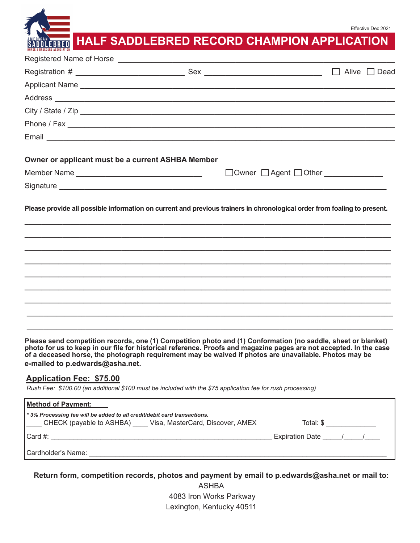Effective Dec 2021

# **HALF SADDLEBRED RECORD CHAMPION APPLICATION**

|                                                   |                                                                                                                                                                                                                                | Alive $\Box$ Dead<br>$\Box$ |
|---------------------------------------------------|--------------------------------------------------------------------------------------------------------------------------------------------------------------------------------------------------------------------------------|-----------------------------|
|                                                   | Applicant Name                                                                                                                                                                                                                 |                             |
|                                                   |                                                                                                                                                                                                                                |                             |
|                                                   | City / State / Zip                                                                                                                                                                                                             |                             |
|                                                   |                                                                                                                                                                                                                                |                             |
|                                                   |                                                                                                                                                                                                                                |                             |
| Owner or applicant must be a current ASHBA Member |                                                                                                                                                                                                                                |                             |
|                                                   |                                                                                                                                                                                                                                |                             |
|                                                   |                                                                                                                                                                                                                                |                             |
|                                                   | Please provide all possible information on current and previous trainers in chronological order from foaling to present.                                                                                                       |                             |
|                                                   |                                                                                                                                                                                                                                |                             |
|                                                   |                                                                                                                                                                                                                                |                             |
|                                                   |                                                                                                                                                                                                                                |                             |
|                                                   |                                                                                                                                                                                                                                |                             |
|                                                   |                                                                                                                                                                                                                                |                             |
|                                                   | and the second properties of the control (4). On probability is plated and (4). On planned in the control of the plant of the state of the state of the state of the state of the state of the state of the state of the state |                             |

**Please send competition records, one (1) Competition photo and (1) Conformation (no saddle, sheet or blanket) photo for us to keep in our file for historical reference. Proofs and magazine pages are not accepted. In the case of a deceased horse, the photograph requirement may be waived if photos are unavailable. Photos may be e-mailed to p.edwards@asha.net.**

### **Application Fee: \$75.00**

*Rush Fee: \$100.00 (an additional \$100 must be included with the \$75 application fee for rush processing)*

| <b>Method of Payment:</b>                                                                                                                 |                     |
|-------------------------------------------------------------------------------------------------------------------------------------------|---------------------|
| *3% Processing fee will be added to all credit/debit card transactions.<br>CHECK (payable to ASHBA) ____ Visa, MasterCard, Discover, AMEX | Total: \$           |
| Card $#$ :                                                                                                                                | Expiration Date / / |
| Cardholder's Name:                                                                                                                        |                     |

**Return form, competition records, photos and payment by email to p.edwards@asha.net or mail to:**

ASHBA 4083 Iron Works Parkway Lexington, Kentucky 40511